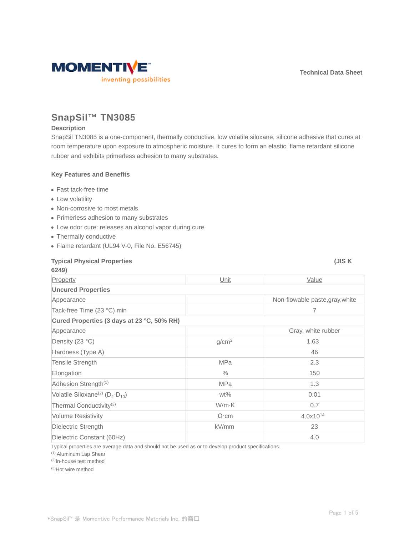

# **SnapSil™ TN3085**

#### **Description**

SnapSil TN3085 is a one-component, thermally conductive, low volatile siloxane, silicone adhesive that cures at room temperature upon exposure to atmospheric moisture. It cures to form an elastic, flame retardant silicone rubber and exhibits primerless adhesion to many substrates.

#### **Key Features and Benefits**

- Fast tack-free time
- Low volatility
- Non-corrosive to most metals
- Primerless adhesion to many substrates
- Low odor cure: releases an alcohol vapor during cure
- Thermally conductive
- Flame retardant (UL94 V-0, File No. E56745)

| <b>Typical Physical Properties</b><br>6249)           |                   | (JISK                           |  |  |
|-------------------------------------------------------|-------------------|---------------------------------|--|--|
| Property                                              | Unit              | Value                           |  |  |
| <b>Uncured Properties</b>                             |                   |                                 |  |  |
| Appearance                                            |                   | Non-flowable paste, gray, white |  |  |
| Tack-free Time (23 °C) min                            |                   | 7                               |  |  |
| Cured Properties (3 days at 23 °C, 50% RH)            |                   |                                 |  |  |
| Appearance                                            |                   | Gray, white rubber              |  |  |
| Density (23 °C)                                       | g/cm <sup>3</sup> | 1.63                            |  |  |
| Hardness (Type A)                                     |                   | 46                              |  |  |
| Tensile Strength                                      | <b>MPa</b>        | 2.3                             |  |  |
| Elongation                                            | $\%$              | 150                             |  |  |
| Adhesion Strength <sup>(1)</sup>                      | <b>MPa</b>        | 1.3                             |  |  |
| Volatile Siloxane <sup>(2)</sup> ( $D_4$ - $D_{10}$ ) | $wt\%$            | 0.01                            |  |  |
| Thermal Conductivity <sup>(3)</sup>                   | W/m·K             | 0.7                             |  |  |
| <b>Volume Resistivity</b>                             | $\Omega$ ·cm      | 4.0x10 <sup>14</sup>            |  |  |
| Dielectric Strength                                   | kV/mm             | 23                              |  |  |
| Dielectric Constant (60Hz)                            |                   | 4.0                             |  |  |

Typical properties are average data and should not be used as or to develop product specifications.

(1) Aluminum Lap Shear

(2)In-house test method

(3)Hot wire method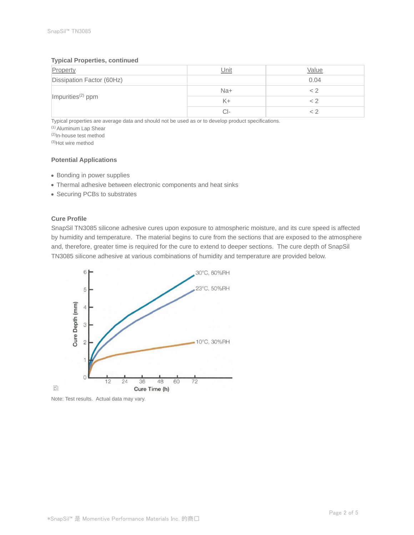#### **Typical Properties, continued**

| Property                      | Unit  | Value |
|-------------------------------|-------|-------|
| Dissipation Factor (60Hz)     |       | 0.04  |
|                               | $Na+$ |       |
| Impurities <sup>(2)</sup> ppm | K+    |       |
|                               | CI-   |       |

Typical properties are average data and should not be used as or to develop product specifications.

(1) Aluminum Lap Shear

(2)In-house test method

(3)Hot wire method

### **Potential Applications**

- Bonding in power supplies
- Thermal adhesive between electronic components and heat sinks
- Securing PCBs to substrates

#### **Cure Profile**

SnapSil TN3085 silicone adhesive cures upon exposure to atmospheric moisture, and its cure speed is affected by humidity and temperature. The material begins to cure from the sections that are exposed to the atmosphere and, therefore, greater time is required for the cure to extend to deeper sections. The cure depth of SnapSil TN3085 silicone adhesive at various combinations of humidity and temperature are provided below.



Note: Test results. Actual data may vary.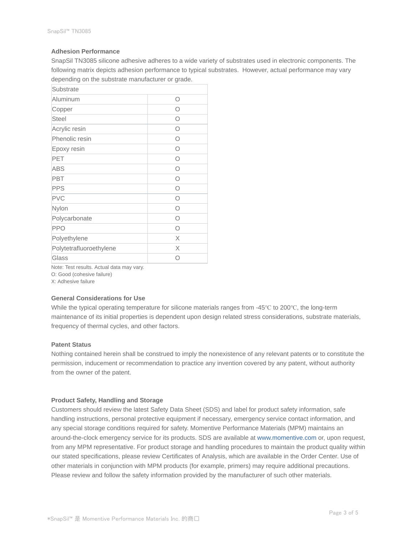#### **Adhesion Performance**

SnapSil TN3085 silicone adhesive adheres to a wide variety of substrates used in electronic components. The following matrix depicts adhesion performance to typical substrates. However, actual performance may vary depending on the substrate manufacturer or grade.

| Substrate               |            |
|-------------------------|------------|
| Aluminum                | O          |
| Copper                  | Ω          |
| <b>Steel</b>            | Ω          |
| Acrylic resin           | Ω          |
| Phenolic resin          | Ω          |
| Epoxy resin             | Ω          |
| PET                     | Ω          |
| <b>ABS</b>              | $\bigcirc$ |
| <b>PBT</b>              | $\bigcap$  |
| <b>PPS</b>              | Ω          |
| <b>PVC</b>              | Ω          |
| Nylon                   | $\bigcap$  |
| Polycarbonate           | Ω          |
| <b>PPO</b>              | $\bigcirc$ |
| Polyethylene            | X          |
| Polytetrafluoroethylene | X          |
| Glass                   | ∩          |

Note: Test results. Actual data may vary.

O: Good (cohesive failure)

X: Adhesive failure

#### **General Considerations for Use**

While the typical operating temperature for silicone materials ranges from -45℃ to 200℃, the long-term maintenance of its initial properties is dependent upon design related stress considerations, substrate materials, frequency of thermal cycles, and other factors.

#### **Patent Status**

Nothing contained herein shall be construed to imply the nonexistence of any relevant patents or to constitute the permission, inducement or recommendation to practice any invention covered by any patent, without authority from the owner of the patent.

#### **Product Safety, Handling and Storage**

Customers should review the latest Safety Data Sheet (SDS) and label for product safety information, safe handling instructions, personal protective equipment if necessary, emergency service contact information, and any special storage conditions required for safety. Momentive Performance Materials (MPM) maintains an around-the-clock emergency service for its products. SDS are available at www.momentive.com or, upon request, from any MPM representative. For product storage and handling procedures to maintain the product quality within our stated specifications, please review Certificates of Analysis, which are available in the Order Center. Use of other materials in conjunction with MPM products (for example, primers) may require additional precautions. Please review and follow the safety information provided by the manufacturer of such other materials.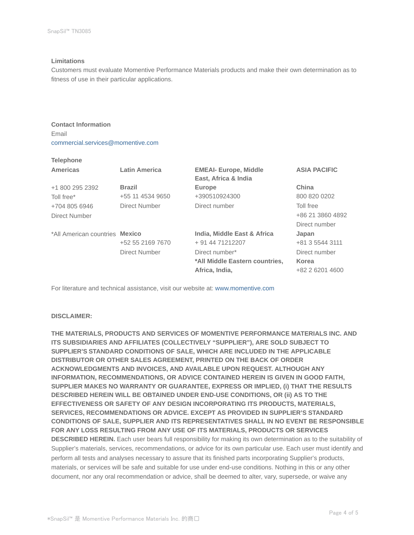#### **Limitations**

Customers must evaluate Momentive Performance Materials products and make their own determination as to fitness of use in their particular applications.

**Contact Information** Email commercial.services@momentive.com

## **Telephone**

| <b>Americas</b>                       | <b>Latin America</b> | <b>EMEAI- Europe, Middle</b><br>East, Africa & India | <b>ASIA PACIFIC</b> |
|---------------------------------------|----------------------|------------------------------------------------------|---------------------|
| +1 800 295 2392                       | <b>Brazil</b>        | <b>Europe</b>                                        | China               |
| Toll free*                            | +55 11 4534 9650     | +390510924300                                        | 800 820 0202        |
| +704 805 6946                         | Direct Number        | Direct number                                        | Toll free           |
| Direct Number                         |                      |                                                      | +86 21 3860 4892    |
|                                       |                      |                                                      | Direct number       |
| *All American countries <b>Mexico</b> |                      | India, Middle East & Africa                          | Japan               |
|                                       | +52 55 2169 7670     | + 91 44 71212207                                     | +81 3 5544 3111     |
|                                       | Direct Number        | Direct number*                                       | Direct number       |
|                                       |                      | *All Middle Eastern countries,                       | Korea               |
|                                       |                      | Africa, India,                                       | +82 2 6201 4600     |

For literature and technical assistance, visit our website at: www.momentive.com

#### **DISCLAIMER:**

**THE MATERIALS, PRODUCTS AND SERVICES OF MOMENTIVE PERFORMANCE MATERIALS INC. AND ITS SUBSIDIARIES AND AFFILIATES (COLLECTIVELY "SUPPLIER"), ARE SOLD SUBJECT TO SUPPLIER'S STANDARD CONDITIONS OF SALE, WHICH ARE INCLUDED IN THE APPLICABLE DISTRIBUTOR OR OTHER SALES AGREEMENT, PRINTED ON THE BACK OF ORDER ACKNOWLEDGMENTS AND INVOICES, AND AVAILABLE UPON REQUEST. ALTHOUGH ANY INFORMATION, RECOMMENDATIONS, OR ADVICE CONTAINED HEREIN IS GIVEN IN GOOD FAITH, SUPPLIER MAKES NO WARRANTY OR GUARANTEE, EXPRESS OR IMPLIED, (i) THAT THE RESULTS DESCRIBED HEREIN WILL BE OBTAINED UNDER END-USE CONDITIONS, OR (ii) AS TO THE EFFECTIVENESS OR SAFETY OF ANY DESIGN INCORPORATING ITS PRODUCTS, MATERIALS, SERVICES, RECOMMENDATIONS OR ADVICE. EXCEPT AS PROVIDED IN SUPPLIER'S STANDARD CONDITIONS OF SALE, SUPPLIER AND ITS REPRESENTATIVES SHALL IN NO EVENT BE RESPONSIBLE FOR ANY LOSS RESULTING FROM ANY USE OF ITS MATERIALS, PRODUCTS OR SERVICES DESCRIBED HEREIN.** Each user bears full responsibility for making its own determination as to the suitability of Supplier's materials, services, recommendations, or advice for its own particular use. Each user must identify and perform all tests and analyses necessary to assure that its finished parts incorporating Supplier's products, materials, or services will be safe and suitable for use under end-use conditions. Nothing in this or any other document, nor any oral recommendation or advice, shall be deemed to alter, vary, supersede, or waive any